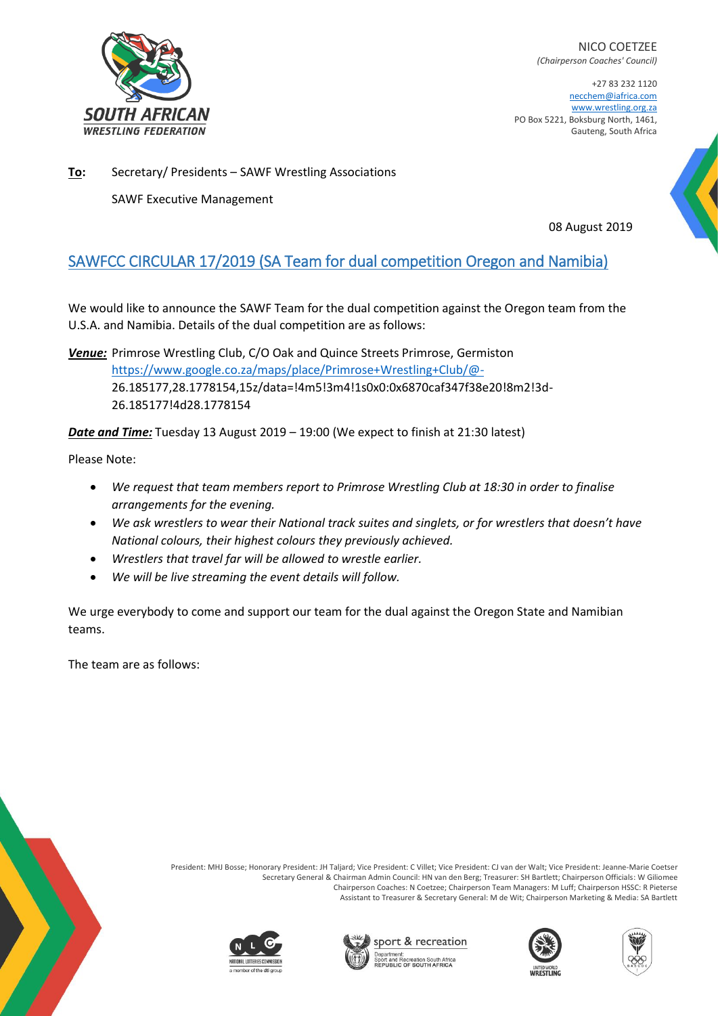

NICO COETZEE *(Chairperson Coaches' Council)*

+27 83 232 1120 necchem@iafrica.com [www.wrestling.org.za](http://www.wrestling.org.za/) PO Box 5221, Boksburg North, 1461, Gauteng, South Africa

**To:** Secretary/ Presidents – SAWF Wrestling Associations

SAWF Executive Management

08 August 2019

## SAWFCC CIRCULAR 17/2019 (SA Team for dual competition Oregon and Namibia)

We would like to announce the SAWF Team for the dual competition against the Oregon team from the U.S.A. and Namibia. Details of the dual competition are as follows:

*Venue:* Primrose Wrestling Club, C/O Oak and Quince Streets Primrose, Germiston <https://www.google.co.za/maps/place/Primrose+Wrestling+Club/@-> 26.185177,28.1778154,15z/data=!4m5!3m4!1s0x0:0x6870caf347f38e20!8m2!3d-26.185177!4d28.1778154

*Date and Time:* Tuesday 13 August 2019 – 19:00 (We expect to finish at 21:30 latest)

Please Note:

- *We request that team members report to Primrose Wrestling Club at 18:30 in order to finalise arrangements for the evening.*
- *We ask wrestlers to wear their National track suites and singlets, or for wrestlers that doesn't have National colours, their highest colours they previously achieved.*
- *Wrestlers that travel far will be allowed to wrestle earlier.*
- *We will be live streaming the event details will follow.*

We urge everybody to come and support our team for the dual against the Oregon State and Namibian teams.

The team are as follows:



President: MHJ Bosse; Honorary President: JH Taljard; Vice President: C Villet; Vice President: CJ van der Walt; Vice President: Jeanne-Marie Coetser Secretary General & Chairman Admin Council: HN van den Berg; Treasurer: SH Bartlett; Chairperson Officials: W Giliomee Chairperson Coaches: N Coetzee; Chairperson Team Managers: M Luff; Chairperson HSSC: R Pieterse Assistant to Treasurer & Secretary General: M de Wit; Chairperson Marketing & Media: SA Bartlett